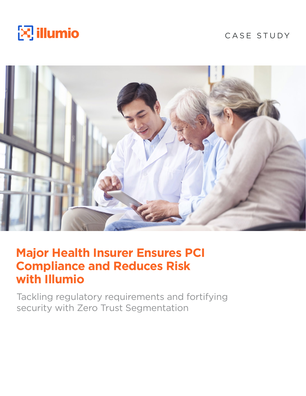

# CASE STUDY



# **Major Health Insurer Ensures PCI Compliance and Reduces Risk with Illumio**

Tackling regulatory requirements and fortifying security with Zero Trust Segmentation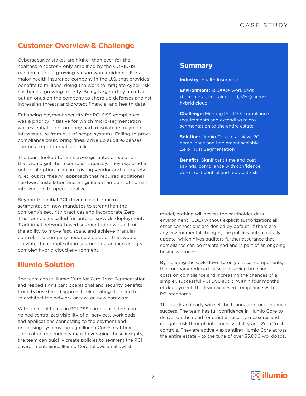## **Customer Overview & Challenge**

Cybersecurity stakes are higher than ever for the healthcare sector – only amplified by the COVID-19 pandemic and a growing ransomware epidemic. For a major health insurance company in the U.S. that provides benefits to millions, doing the work to mitigate cyber risk has been a growing priority. Being targeted by an attack put an onus on the company to shore up defenses against increasing threats and protect financial and health data.

Enhancing payment security for PCI DSS compliance was a priority initiative for which micro-segmentation was essential. The company had to isolate its payment infrastructure from out-of-scope systems. Failing to prove compliance could bring fines, drive up audit expenses, and be a reputational setback.

The team looked for a micro-segmentation solution that would get them compliant quickly. They explored a potential option from an existing vendor and ultimately ruled out its "heavy" approach that required additional hardware installation and a significant amount of human intervention to operationalize.

Beyond the initial PCI-driven case for microsegmentation, new mandates to strengthen the company's security practices and incorporate Zero Trust principles called for enterprise-wide deployment. Traditional network-based segmentation would limit the ability to move fast, scale, and achieve granular control. The company needed a solution that would alleviate the complexity in segmenting an increasingly complex hybrid cloud environment.

# **Illumio Solution**

The team chose Illumio Core for Zero Trust Segmentation – and reaped significant operational and security benefits from its host-based approach, eliminating the need to re-architect the network or take on new hardware.

With an initial focus on PCI DSS compliance, the team gained centralized visibility of all services, workloads, and applications connecting to the payment and processing systems through Illumio Core's real-time application dependency map. Leveraging those insights, the team can quickly create policies to segment the PCI environment. Since Illumio Core follows an allowlist

## **Summary**

**Industry: Health Insurance** 

**Environment:** 35,000+ workloads (bare-metal, containerized, VMs) across hybrid cloud

**Challenge:** Meeting PCI DSS compliance requirements and extending microsegmentation to the entire estate

**Solution: Illumio Core to achieve PCI** compliance and implement scalable Zero Trust Segmentation

**Benefits:** Significant time and cost savings; compliance with confidence; Zero Trust control and reduced risk

model, nothing will access the cardholder data environment (CDE) without explicit authorization; all other connections are denied by default. If there are any environmental changes, the policies automatically update, which gives auditors further assurance that compliance can be maintained and is part of an ongoing business process.

By isolating the CDE down to only critical components, the company reduced its scope, saving time and costs on compliance and increasing the chances of a simpler, successful PCI DSS audit. Within four months of deployment, the team achieved compliance with PCI standards.

The quick and early win set the foundation for continued success. The team has full confidence in Illumio Core to deliver on the need for stricter security measures and mitigate risk through intelligent visibility and Zero Trust controls. They are actively expanding Illumio Core across the entire estate – to the tune of over 35,000 workloads.

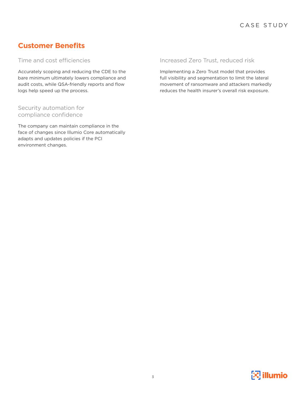# **Customer Benefits**

Time and cost efficiencies

Accurately scoping and reducing the CDE to the bare minimum ultimately lowers compliance and audit costs, while QSA-friendly reports and flow logs help speed up the process.

## Security automation for compliance confidence

The company can maintain compliance in the face of changes since Illumio Core automatically adapts and updates policies if the PCI environment changes.

#### Increased Zero Trust, reduced risk

Implementing a Zero Trust model that provides full visibility and segmentation to limit the lateral movement of ransomware and attackers markedly reduces the health insurer's overall risk exposure.